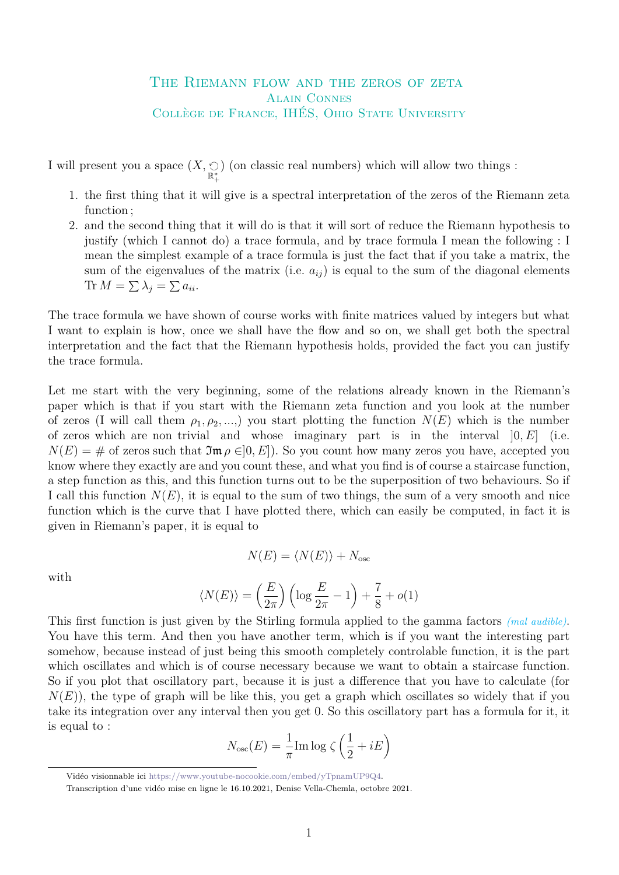## THE RIEMANN FLOW AND THE ZEROS OF ZETA Alain Connes Collège de France, IHÉS, Ohio State University

I will present you a space  $(X, \underset{\mathbb{R}_{+}^{*}}{\odot})$ ) (on classic real numbers) which will allow two things :

- 1. the first thing that it will give is a spectral interpretation of the zeros of the Riemann zeta function ;
- 2. and the second thing that it will do is that it will sort of reduce the Riemann hypothesis to justify (which I cannot do) a trace formula, and by trace formula I mean the following : I mean the simplest example of a trace formula is just the fact that if you take a matrix, the sum of the eigenvalues of the matrix (i.e.  $a_{ij}$ ) is equal to the sum of the diagonal elements Tr  $M = \sum \lambda_j = \sum a_{ii}$ .

The trace formula we have shown of course works with finite matrices valued by integers but what I want to explain is how, once we shall have the flow and so on, we shall get both the spectral interpretation and the fact that the Riemann hypothesis holds, provided the fact you can justify the trace formula.

Let me start with the very beginning, some of the relations already known in the Riemann's paper which is that if you start with the Riemann zeta function and you look at the number of zeros (I will call them  $\rho_1, \rho_2, \ldots$ ) you start plotting the function  $N(E)$  which is the number of zeros which are non trivial and whose imaginary part is in the interval ]0*, E*] (i.e.  $N(E) = #$  of zeros such that  $\mathfrak{Im} \rho \in ]0, E]$ . So you count how many zeros you have, accepted you know where they exactly are and you count these, and what you find is of course a staircase function, a step function as this, and this function turns out to be the superposition of two behaviours. So if I call this function  $N(E)$ , it is equal to the sum of two things, the sum of a very smooth and nice function which is the curve that I have plotted there, which can easily be computed, in fact it is given in Riemann's paper, it is equal to

$$
N(E) = \langle N(E) \rangle + N_{\text{osc}}
$$

with

$$
\langle N(E) \rangle = \left(\frac{E}{2\pi}\right) \left(\log \frac{E}{2\pi} - 1\right) + \frac{7}{8} + o(1)
$$

This first function is just given by the Stirling formula applied to the gamma factors *(mal audible)*. You have this term. And then you have another term, which is if you want the interesting part somehow, because instead of just being this smooth completely controlable function, it is the part which oscillates and which is of course necessary because we want to obtain a staircase function. So if you plot that oscillatory part, because it is just a difference that you have to calculate (for  $N(E)$ , the type of graph will be like this, you get a graph which oscillates so widely that if you take its integration over any interval then you get 0. So this oscillatory part has a formula for it, it is equal to :

$$
N_{\text{osc}}(E) = \frac{1}{\pi} \text{Im} \log \zeta \left(\frac{1}{2} + iE\right)
$$

Vidéo visionnable ici [https://www.youtube-nocookie.com/embed/yTpnamUP9Q4.](https://www.youtube-nocookie.com/embed/yTpnamUP9Q4)

Transcription d'une vidéo mise en ligne le 16.10.2021, Denise Vella-Chemla, octobre 2021.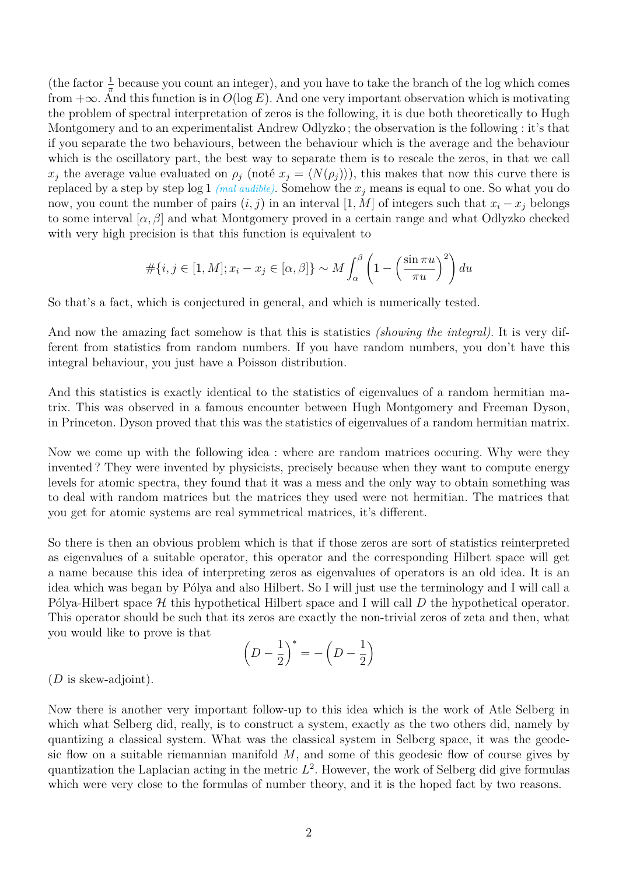(the factor  $\frac{1}{\pi}$  because you count an integer), and you have to take the branch of the log which comes from  $+\infty$ . And this function is in  $O(\log E)$ . And one very important observation which is motivating the problem of spectral interpretation of zeros is the following, it is due both theoretically to Hugh Montgomery and to an experimentalist Andrew Odlyzko ; the observation is the following : it's that if you separate the two behaviours, between the behaviour which is the average and the behaviour which is the oscillatory part, the best way to separate them is to rescale the zeros, in that we call *x*<sub>*j*</sub> the average value evaluated on  $\rho_j$  (noté  $x_j = \langle N(\rho_j) \rangle$ ), this makes that now this curve there is replaced by a step by step log 1 *(mal audible)*. Somehow the *x<sup>j</sup>* means is equal to one. So what you do now, you count the number of pairs  $(i, j)$  in an interval [1, M] of integers such that  $x_i - x_j$  belongs to some interval  $[\alpha, \beta]$  and what Montgomery proved in a certain range and what Odlyzko checked with very high precision is that this function is equivalent to

$$
\#\{i, j \in [1, M]; x_i - x_j \in [\alpha, \beta]\} \sim M \int_{\alpha}^{\beta} \left(1 - \left(\frac{\sin \pi u}{\pi u}\right)^2\right) du
$$

So that's a fact, which is conjectured in general, and which is numerically tested.

And now the amazing fact somehow is that this is statistics *(showing the integral)*. It is very different from statistics from random numbers. If you have random numbers, you don't have this integral behaviour, you just have a Poisson distribution.

And this statistics is exactly identical to the statistics of eigenvalues of a random hermitian matrix. This was observed in a famous encounter between Hugh Montgomery and Freeman Dyson, in Princeton. Dyson proved that this was the statistics of eigenvalues of a random hermitian matrix.

Now we come up with the following idea : where are random matrices occuring. Why were they invented ? They were invented by physicists, precisely because when they want to compute energy levels for atomic spectra, they found that it was a mess and the only way to obtain something was to deal with random matrices but the matrices they used were not hermitian. The matrices that you get for atomic systems are real symmetrical matrices, it's different.

So there is then an obvious problem which is that if those zeros are sort of statistics reinterpreted as eigenvalues of a suitable operator, this operator and the corresponding Hilbert space will get a name because this idea of interpreting zeros as eigenvalues of operators is an old idea. It is an idea which was began by Pólya and also Hilbert. So I will just use the terminology and I will call a Pólya-Hilbert space H this hypothetical Hilbert space and I will call D the hypothetical operator. This operator should be such that its zeros are exactly the non-trivial zeros of zeta and then, what you would like to prove is that

$$
\left(D - \frac{1}{2}\right)^* = -\left(D - \frac{1}{2}\right)
$$

(*D* is skew-adjoint).

Now there is another very important follow-up to this idea which is the work of Atle Selberg in which what Selberg did, really, is to construct a system, exactly as the two others did, namely by quantizing a classical system. What was the classical system in Selberg space, it was the geodesic flow on a suitable riemannian manifold *M*, and some of this geodesic flow of course gives by quantization the Laplacian acting in the metric *L* 2 . However, the work of Selberg did give formulas which were very close to the formulas of number theory, and it is the hoped fact by two reasons.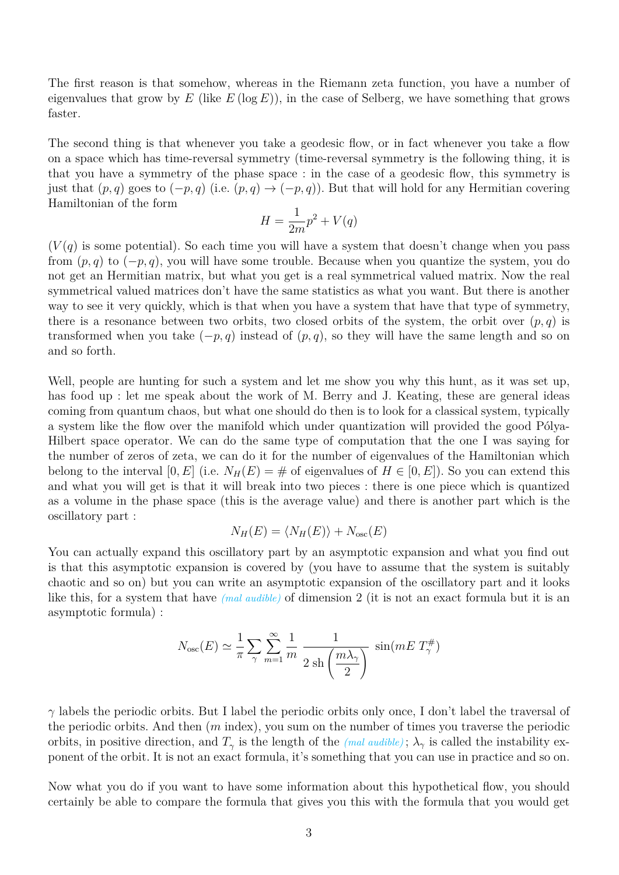The first reason is that somehow, whereas in the Riemann zeta function, you have a number of eigenvalues that grow by  $E$  (like  $E$  (log  $E$ )), in the case of Selberg, we have something that grows faster.

The second thing is that whenever you take a geodesic flow, or in fact whenever you take a flow on a space which has time-reversal symmetry (time-reversal symmetry is the following thing, it is that you have a symmetry of the phase space : in the case of a geodesic flow, this symmetry is just that  $(p, q)$  goes to  $(-p, q)$  (i.e.  $(p, q) \rightarrow (-p, q)$ ). But that will hold for any Hermitian covering Hamiltonian of the form

$$
H = \frac{1}{2m}p^2 + V(q)
$$

 $(V(q))$  is some potential). So each time you will have a system that doesn't change when you pass from (*p, q*) to (−*p, q*), you will have some trouble. Because when you quantize the system, you do not get an Hermitian matrix, but what you get is a real symmetrical valued matrix. Now the real symmetrical valued matrices don't have the same statistics as what you want. But there is another way to see it very quickly, which is that when you have a system that have that type of symmetry, there is a resonance between two orbits, two closed orbits of the system, the orbit over  $(p, q)$  is transformed when you take  $(-p, q)$  instead of  $(p, q)$ , so they will have the same length and so on and so forth.

Well, people are hunting for such a system and let me show you why this hunt, as it was set up, has food up : let me speak about the work of M. Berry and J. Keating, these are general ideas coming from quantum chaos, but what one should do then is to look for a classical system, typically a system like the flow over the manifold which under quantization will provided the good Pólya-Hilbert space operator. We can do the same type of computation that the one I was saying for the number of zeros of zeta, we can do it for the number of eigenvalues of the Hamiltonian which belong to the interval  $[0, E]$  (i.e.  $N_H(E) = \#$  of eigenvalues of  $H \in [0, E]$ ). So you can extend this and what you will get is that it will break into two pieces : there is one piece which is quantized as a volume in the phase space (this is the average value) and there is another part which is the oscillatory part :

$$
N_H(E) = \langle N_H(E) \rangle + N_{\rm osc}(E)
$$

You can actually expand this oscillatory part by an asymptotic expansion and what you find out is that this asymptotic expansion is covered by (you have to assume that the system is suitably chaotic and so on) but you can write an asymptotic expansion of the oscillatory part and it looks like this, for a system that have *(mal audible)* of dimension 2 (it is not an exact formula but it is an asymptotic formula) :

$$
N_{\text{osc}}(E) \simeq \frac{1}{\pi} \sum_{\gamma} \sum_{m=1}^{\infty} \frac{1}{m} \frac{1}{2 \sin\left(\frac{m\lambda_{\gamma}}{2}\right)} \sin(mE T_{\gamma}^{\#})
$$

*γ* labels the periodic orbits. But I label the periodic orbits only once, I don't label the traversal of the periodic orbits. And then (*m* index), you sum on the number of times you traverse the periodic orbits, in positive direction, and  $T_\gamma$  is the length of the *(mal audible)*;  $\lambda_\gamma$  is called the instability exponent of the orbit. It is not an exact formula, it's something that you can use in practice and so on.

Now what you do if you want to have some information about this hypothetical flow, you should certainly be able to compare the formula that gives you this with the formula that you would get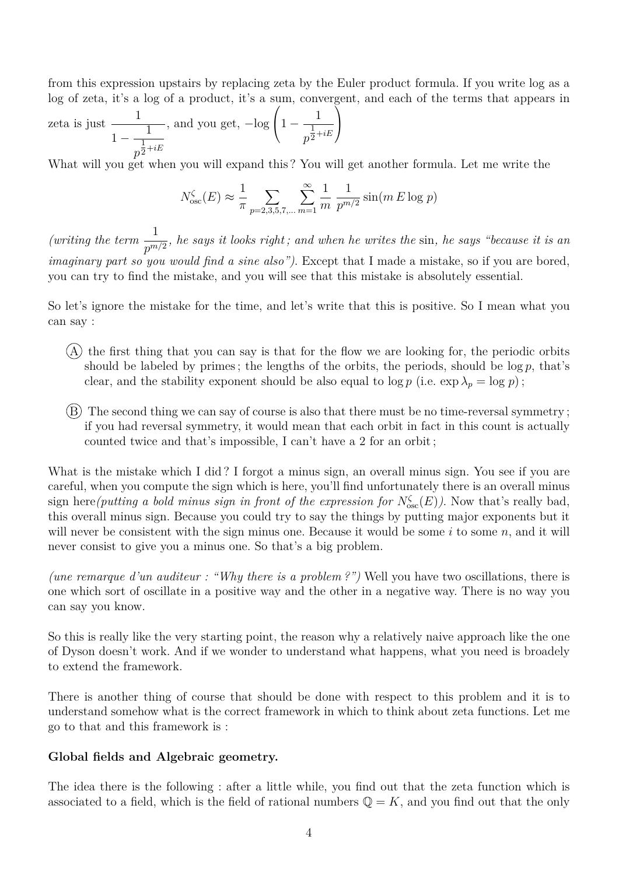from this expression upstairs by replacing zeta by the Euler product formula. If you write log as a log of zeta, it's a log of a product, it's a sum, convergent, and each of the terms that appears in

zeta is just 1  $\frac{1}{1-\frac{1}{1-\frac{1}{1-\frac{1}{1-\frac{1}{1-\frac{1}{1-\frac{1}{1-\frac{1}{1-\frac{1}{1-\frac{1}{1-\frac{1}{1-\frac{1}{1-\frac{1}{1-\frac{1}{1-\frac{1}{1-\frac{1}{1-\frac{1}{1-\frac{1}{1-\frac{1}{1-\frac{1}{1-\frac{1}{1-\frac{1}{1-\frac{1}{1-\frac{1}{1-\frac{1}{1-\frac{1}{1-\frac{1}{1-\frac{1}{1-\frac{1}{1-\frac{1}{1-\frac{1}{1-\frac{1}{1-\frac{1}{1-\frac{1}{1-\frac{1}{1-\frac{1}{1-\frac{1$  $p^{\tfrac{1}{2}+iE}$ 2 , and you get, −log  $\sqrt{ }$  $\left(1-\frac{1}{1}\right)$  $p^{\textstyle{\frac{1}{2}}}$  $\frac{1}{2}+iE$  $\setminus$  $\overline{1}$ 

What will you get when you will expand this ? You will get another formula. Let me write the

$$
N_{\text{osc}}^{\zeta}(E) \approx \frac{1}{\pi} \sum_{p=2,3,5,7,\dots} \sum_{m=1}^{\infty} \frac{1}{m} \frac{1}{p^{m/2}} \sin(m E \log p)
$$

*(writing the term*  $\frac{1}{\epsilon}$  $\frac{1}{p^{m/2}}$ , he says it looks right; and when he writes the sin, he says "because it is an *imaginary part so you would find a sine also")*. Except that I made a mistake, so if you are bored, you can try to find the mistake, and you will see that this mistake is absolutely essential.

So let's ignore the mistake for the time, and let's write that this is positive. So I mean what you can say :

- $(A)$  the first thing that you can say is that for the flow we are looking for, the periodic orbits should be labeled by primes; the lengths of the orbits, the periods, should be  $\log p$ , that's clear, and the stability exponent should be also equal to  $\log p$  (i.e.  $\exp \lambda_p = \log p$ );
- B The second thing we can say of course is also that there must be no time-reversal symmetry ; if you had reversal symmetry, it would mean that each orbit in fact in this count is actually counted twice and that's impossible, I can't have a 2 for an orbit ;

What is the mistake which I did? I forgot a minus sign, an overall minus sign. You see if you are careful, when you compute the sign which is here, you'll find unfortunately there is an overall minus sign here (putting a bold minus sign in front of the expression for  $N_{\text{osc}}^{\zeta}(E)$ ). Now that's really bad, this overall minus sign. Because you could try to say the things by putting major exponents but it will never be consistent with the sign minus one. Because it would be some *i* to some *n*, and it will never consist to give you a minus one. So that's a big problem.

*(une remarque d'un auditeur : "Why there is a problem ?")* Well you have two oscillations, there is one which sort of oscillate in a positive way and the other in a negative way. There is no way you can say you know.

So this is really like the very starting point, the reason why a relatively naive approach like the one of Dyson doesn't work. And if we wonder to understand what happens, what you need is broadely to extend the framework.

There is another thing of course that should be done with respect to this problem and it is to understand somehow what is the correct framework in which to think about zeta functions. Let me go to that and this framework is :

## **Global fields and Algebraic geometry.**

The idea there is the following : after a little while, you find out that the zeta function which is associated to a field, which is the field of rational numbers  $\mathbb{Q} = K$ , and you find out that the only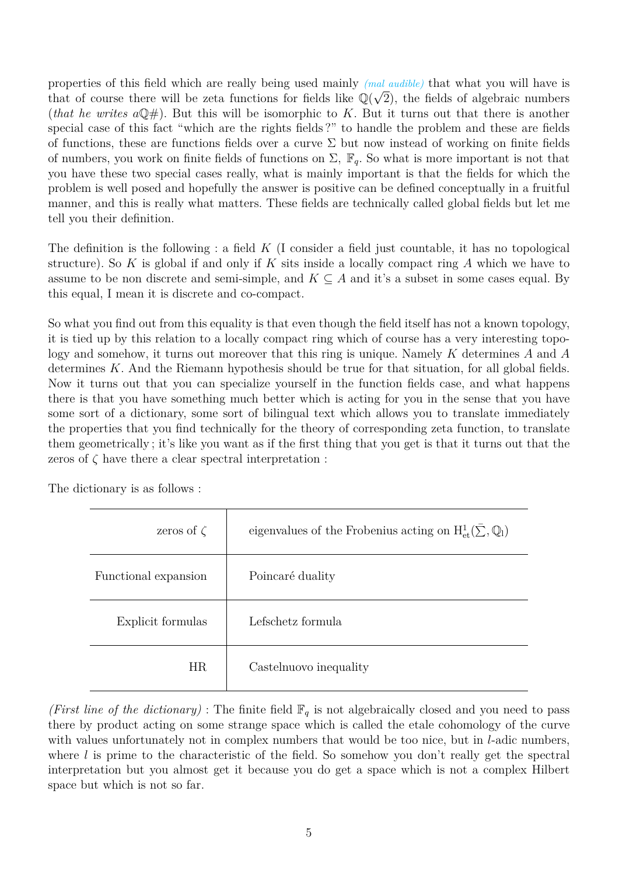properties of this field which are really being used mainly *(mal audible)* that what you will have is that of course there will be zeta functions for fields like  $\mathbb{Q}(\sqrt{2})$ , the fields of algebraic numbers (*that he writes*  $a\mathbb{Q}$ #). But this will be isomorphic to *K*. But it turns out that there is another special case of this fact "which are the rights fields ?" to handle the problem and these are fields of functions, these are functions fields over a curve  $\Sigma$  but now instead of working on finite fields of numbers, you work on finite fields of functions on  $\Sigma$ ,  $\mathbb{F}_q$ . So what is more important is not that you have these two special cases really, what is mainly important is that the fields for which the problem is well posed and hopefully the answer is positive can be defined conceptually in a fruitful manner, and this is really what matters. These fields are technically called global fields but let me tell you their definition.

The definition is the following : a field *K* (I consider a field just countable, it has no topological structure). So *K* is global if and only if *K* sits inside a locally compact ring *A* which we have to assume to be non discrete and semi-simple, and  $K \subseteq A$  and it's a subset in some cases equal. By this equal, I mean it is discrete and co-compact.

So what you find out from this equality is that even though the field itself has not a known topology, it is tied up by this relation to a locally compact ring which of course has a very interesting topology and somehow, it turns out moreover that this ring is unique. Namely *K* determines *A* and *A* determines *K*. And the Riemann hypothesis should be true for that situation, for all global fields. Now it turns out that you can specialize yourself in the function fields case, and what happens there is that you have something much better which is acting for you in the sense that you have some sort of a dictionary, some sort of bilingual text which allows you to translate immediately the properties that you find technically for the theory of corresponding zeta function, to translate them geometrically ; it's like you want as if the first thing that you get is that it turns out that the zeros of  $\zeta$  have there a clear spectral interpretation :

The dictionary is as follows :

| zeros of $\zeta$     | eigenvalues of the Frobenius acting on $H^1_{\text{et}}(\Sigma,\mathbb{Q}_l)$ |
|----------------------|-------------------------------------------------------------------------------|
| Functional expansion | Poincaré duality                                                              |
| Explicit formulas    | Lefschetz formula                                                             |
| HR                   | Castelnuovo inequality                                                        |

*(First line of the dictionary)* : The finite field  $\mathbb{F}_q$  is not algebraically closed and you need to pass there by product acting on some strange space which is called the etale cohomology of the curve with values unfortunately not in complex numbers that would be too nice, but in *l*-adic numbers, where *l* is prime to the characteristic of the field. So somehow you don't really get the spectral interpretation but you almost get it because you do get a space which is not a complex Hilbert space but which is not so far.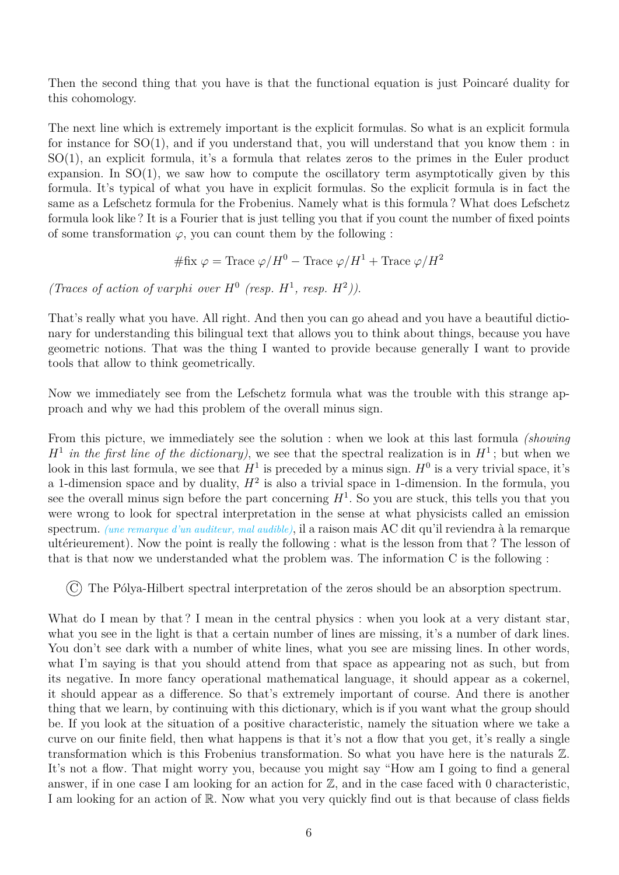Then the second thing that you have is that the functional equation is just Poincaré duality for this cohomology.

The next line which is extremely important is the explicit formulas. So what is an explicit formula for instance for  $SO(1)$ , and if you understand that, you will understand that you know them : in SO(1), an explicit formula, it's a formula that relates zeros to the primes in the Euler product expansion. In  $SO(1)$ , we saw how to compute the oscillatory term asymptotically given by this formula. It's typical of what you have in explicit formulas. So the explicit formula is in fact the same as a Lefschetz formula for the Frobenius. Namely what is this formula ? What does Lefschetz formula look like ? It is a Fourier that is just telling you that if you count the number of fixed points of some transformation  $\varphi$ , you can count them by the following :

 $\#\text{fix } \varphi = \text{Trace }\varphi/H^0 - \text{Trace }\varphi/H^1 + \text{Trace }\varphi/H^2$ 

*(Traces of action of varphi over*  $H^0$  *(resp.*  $H^1$ *, resp.*  $H^2$ *)*.

That's really what you have. All right. And then you can go ahead and you have a beautiful dictionary for understanding this bilingual text that allows you to think about things, because you have geometric notions. That was the thing I wanted to provide because generally I want to provide tools that allow to think geometrically.

Now we immediately see from the Lefschetz formula what was the trouble with this strange approach and why we had this problem of the overall minus sign.

From this picture, we immediately see the solution : when we look at this last formula *(showing*  $H^1$  *in the first line of the dictionary*), we see that the spectral realization is in  $H^1$ ; but when we look in this last formula, we see that  $H^1$  is preceded by a minus sign.  $H^0$  is a very trivial space, it's a 1-dimension space and by duality,  $H^2$  is also a trivial space in 1-dimension. In the formula, you see the overall minus sign before the part concerning  $H^1$ . So you are stuck, this tells you that you were wrong to look for spectral interpretation in the sense at what physicists called an emission spectrum. *(une remarque d'un auditeur, mal audible)*, il a raison mais AC dit qu'il reviendra à la remarque ultérieurement). Now the point is really the following : what is the lesson from that ? The lesson of that is that now we understanded what the problem was. The information C is the following :

 $(C)$  The Pólya-Hilbert spectral interpretation of the zeros should be an absorption spectrum.

What do I mean by that? I mean in the central physics : when you look at a very distant star, what you see in the light is that a certain number of lines are missing, it's a number of dark lines. You don't see dark with a number of white lines, what you see are missing lines. In other words, what I'm saying is that you should attend from that space as appearing not as such, but from its negative. In more fancy operational mathematical language, it should appear as a cokernel, it should appear as a difference. So that's extremely important of course. And there is another thing that we learn, by continuing with this dictionary, which is if you want what the group should be. If you look at the situation of a positive characteristic, namely the situation where we take a curve on our finite field, then what happens is that it's not a flow that you get, it's really a single transformation which is this Frobenius transformation. So what you have here is the naturals Z. It's not a flow. That might worry you, because you might say "How am I going to find a general answer, if in one case I am looking for an action for  $\mathbb{Z}$ , and in the case faced with 0 characteristic, I am looking for an action of R. Now what you very quickly find out is that because of class fields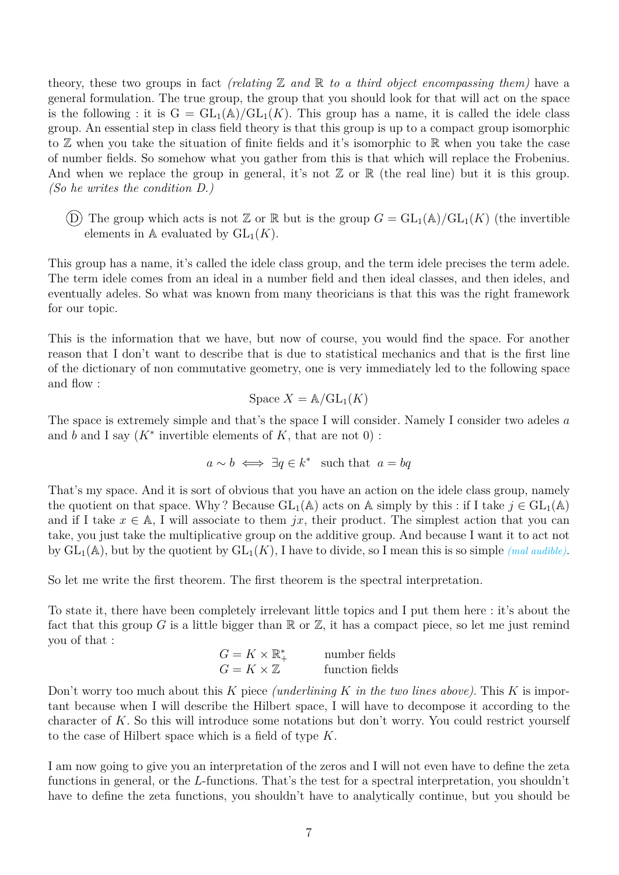theory, these two groups in fact *(relating*  $\mathbb Z$  *and*  $\mathbb R$  *to a third object encompassing them)* have a general formulation. The true group, the group that you should look for that will act on the space is the following : it is  $G = GL_1(\mathbb{A})/GL_1(K)$ . This group has a name, it is called the idele class group. An essential step in class field theory is that this group is up to a compact group isomorphic to  $\mathbb Z$  when you take the situation of finite fields and it's isomorphic to  $\mathbb R$  when you take the case of number fields. So somehow what you gather from this is that which will replace the Frobenius. And when we replace the group in general, it's not  $\mathbb Z$  or  $\mathbb R$  (the real line) but it is this group. *(So he writes the condition D.)*

(D) The group which acts is not  $\mathbb{Z}$  or  $\mathbb{R}$  but is the group  $G = GL_1(\mathbb{A})/GL_1(K)$  (the invertible elements in  $\mathbb A$  evaluated by  $GL_1(K)$ .

This group has a name, it's called the idele class group, and the term idele precises the term adele. The term idele comes from an ideal in a number field and then ideal classes, and then ideles, and eventually adeles. So what was known from many theoricians is that this was the right framework for our topic.

This is the information that we have, but now of course, you would find the space. For another reason that I don't want to describe that is due to statistical mechanics and that is the first line of the dictionary of non commutative geometry, one is very immediately led to the following space and flow :

$$
\text{Space } X = \mathbb{A}/\mathrm{GL}_1(K)
$$

The space is extremely simple and that's the space I will consider. Namely I consider two adeles *a* and  $b$  and I say  $(K^*$  invertible elements of  $K$ , that are not  $0$ ) :

$$
a \sim b \iff \exists q \in k^*
$$
 such that  $a = bq$ 

That's my space. And it is sort of obvious that you have an action on the idele class group, namely the quotient on that space. Why? Because  $GL_1(\mathbb{A})$  acts on  $\mathbb{A}$  simply by this : if I take  $j \in GL_1(\mathbb{A})$ and if I take  $x \in A$ , I will associate to them *jx*, their product. The simplest action that you can take, you just take the multiplicative group on the additive group. And because I want it to act not by  $GL_1(\mathbb{A})$ , but by the quotient by  $GL_1(K)$ , I have to divide, so I mean this is so simple *(mal audible)*.

So let me write the first theorem. The first theorem is the spectral interpretation.

To state it, there have been completely irrelevant little topics and I put them here : it's about the fact that this group *G* is a little bigger than  $\mathbb R$  or  $\mathbb Z$ , it has a compact piece, so let me just remind you of that :

$$
G = K \times \mathbb{R}^*_+
$$
 number fields  
 
$$
G = K \times \mathbb{Z}
$$
 function fields

Don't worry too much about this *K* piece *(underlining K in the two lines above)*. This *K* is important because when I will describe the Hilbert space, I will have to decompose it according to the character of *K*. So this will introduce some notations but don't worry. You could restrict yourself to the case of Hilbert space which is a field of type *K*.

I am now going to give you an interpretation of the zeros and I will not even have to define the zeta functions in general, or the *L*-functions. That's the test for a spectral interpretation, you shouldn't have to define the zeta functions, you shouldn't have to analytically continue, but you should be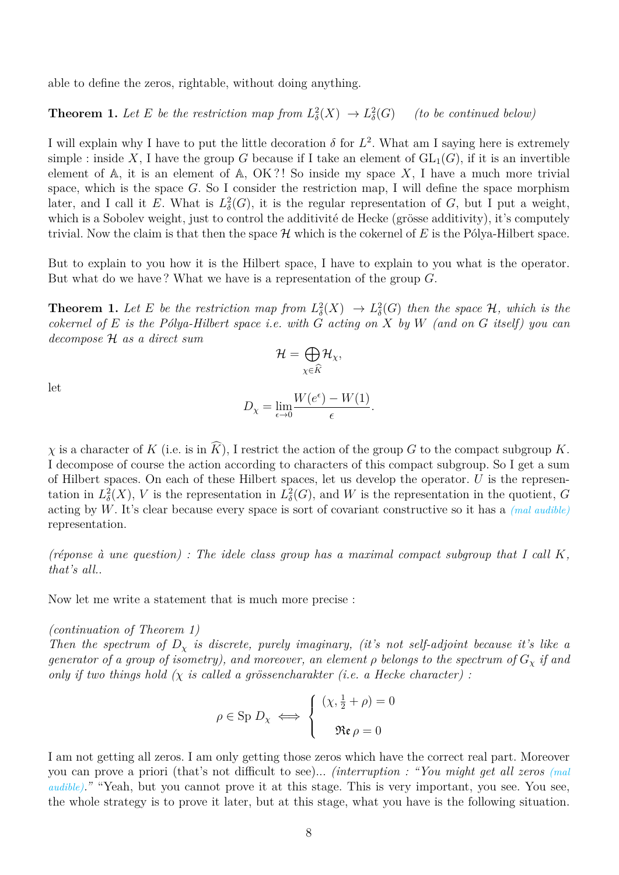able to define the zeros, rightable, without doing anything.

**Theorem 1.** Let E be the restriction map from  $L^2_{\delta}(X) \to L^2_{\delta}(G)$  (to be continued below)

I will explain why I have to put the little decoration  $\delta$  for  $L^2$ . What am I saying here is extremely simple : inside X, I have the group G because if I take an element of  $GL_1(G)$ , if it is an invertible element of  $\mathbb{A}$ , it is an element of  $\mathbb{A}$ , OK?! So inside my space X, I have a much more trivial space, which is the space *G*. So I consider the restriction map, I will define the space morphism later, and I call it *E*. What is  $L^2_{\delta}(G)$ , it is the regular representation of *G*, but I put a weight, which is a Sobolev weight, just to control the additivité de Hecke (grösse additivity), it's computely trivial. Now the claim is that then the space  $\mathcal H$  which is the cokernel of  $E$  is the Pólya-Hilbert space.

But to explain to you how it is the Hilbert space, I have to explain to you what is the operator. But what do we have ? What we have is a representation of the group *G*.

**Theorem 1.** Let E be the restriction map from  $L^2_{\delta}(X) \to L^2_{\delta}(G)$  then the space  $\mathcal{H}$ , which is the *cokernel of E is the Pólya-Hilbert space i.e. with G acting on X by W (and on G itself) you can decompose* H *as a direct sum*

$$
\mathcal{H}=\bigoplus_{\chi\in\widehat{K}}\mathcal{H}_{\chi},
$$

let

$$
D_{\chi} = \lim_{\epsilon \to 0} \frac{W(e^{\epsilon}) - W(1)}{\epsilon}.
$$

*χ* is a character of *K* (i.e. is in  $\widehat{K}$ ), I restrict the action of the group *G* to the compact subgroup *K*. I decompose of course the action according to characters of this compact subgroup. So I get a sum of Hilbert spaces. On each of these Hilbert spaces, let us develop the operator. *U* is the representation in  $L^2_{\delta}(X)$ , *V* is the representation in  $L^2_{\delta}(G)$ , and *W* is the representation in the quotient, *G* acting by *W*. It's clear because every space is sort of covariant constructive so it has a *(mal audible)* representation.

*(réponse à une question) : The idele class group has a maximal compact subgroup that I call K, that's all.*.

Now let me write a statement that is much more precise :

## *(continuation of Theorem 1)*

*Then the spectrum of*  $D_x$  *is discrete, purely imaginary, (it's not self-adjoint because it's like a generator of a group of isometry), and moreover, an element*  $\rho$  belongs to the spectrum of  $G_\chi$  *if and only if two things hold (χ is called a grössencharakter (i.e. a Hecke character) :*

$$
\rho \in \text{Sp } D_{\chi} \iff \begin{cases} \ (\chi, \frac{1}{2} + \rho) = 0 \\ \ \Re \mathfrak{e} \rho = 0 \end{cases}
$$

I am not getting all zeros. I am only getting those zeros which have the correct real part. Moreover you can prove a priori (that's not difficult to see)... *(interruption : "You might get all zeros (mal audible*)." "Yeah, but you cannot prove it at this stage. This is very important, you see. You see, the whole strategy is to prove it later, but at this stage, what you have is the following situation.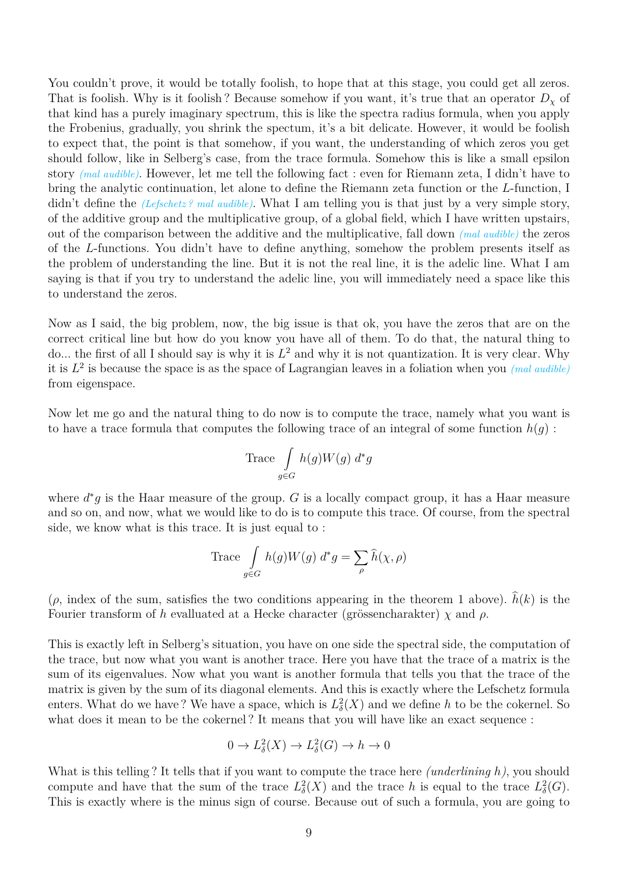You couldn't prove, it would be totally foolish, to hope that at this stage, you could get all zeros. That is foolish. Why is it foolish? Because somehow if you want, it's true that an operator  $D<sub>x</sub>$  of that kind has a purely imaginary spectrum, this is like the spectra radius formula, when you apply the Frobenius, gradually, you shrink the spectum, it's a bit delicate. However, it would be foolish to expect that, the point is that somehow, if you want, the understanding of which zeros you get should follow, like in Selberg's case, from the trace formula. Somehow this is like a small epsilon story *(mal audible)*. However, let me tell the following fact : even for Riemann zeta, I didn't have to bring the analytic continuation, let alone to define the Riemann zeta function or the *L*-function, I didn't define the *(Lefschetz ? mal audible)*. What I am telling you is that just by a very simple story, of the additive group and the multiplicative group, of a global field, which I have written upstairs, out of the comparison between the additive and the multiplicative, fall down *(mal audible)* the zeros of the *L*-functions. You didn't have to define anything, somehow the problem presents itself as the problem of understanding the line. But it is not the real line, it is the adelic line. What I am saying is that if you try to understand the adelic line, you will immediately need a space like this to understand the zeros.

Now as I said, the big problem, now, the big issue is that ok, you have the zeros that are on the correct critical line but how do you know you have all of them. To do that, the natural thing to do... the first of all I should say is why it is *L* <sup>2</sup> and why it is not quantization. It is very clear. Why it is *L* 2 is because the space is as the space of Lagrangian leaves in a foliation when you *(mal audible)* from eigenspace.

Now let me go and the natural thing to do now is to compute the trace, namely what you want is to have a trace formula that computes the following trace of an integral of some function  $h(q)$ :

$$
\text{Trace} \int\limits_{g \in G} h(g)W(g) \; d^*g
$$

where  $d^*g$  is the Haar measure of the group. *G* is a locally compact group, it has a Haar measure and so on, and now, what we would like to do is to compute this trace. Of course, from the spectral side, we know what is this trace. It is just equal to :

Trace 
$$
\int_{g \in G} h(g)W(g) d^*g = \sum_{\rho} \hat{h}(\chi, \rho)
$$

 $(\rho, \text{ index of the sum, satisfies the two conditions appearing in the theorem 1 above).$   $\hat{h}(k)$  is the Fourier transform of *h* evalluated at a Hecke character (grössencharakter) *χ* and *ρ*.

This is exactly left in Selberg's situation, you have on one side the spectral side, the computation of the trace, but now what you want is another trace. Here you have that the trace of a matrix is the sum of its eigenvalues. Now what you want is another formula that tells you that the trace of the matrix is given by the sum of its diagonal elements. And this is exactly where the Lefschetz formula enters. What do we have? We have a space, which is  $L^2_{\delta}(X)$  and we define *h* to be the cokernel. So what does it mean to be the cokernel? It means that you will have like an exact sequence :

$$
0 \to L^2_{\delta}(X) \to L^2_{\delta}(G) \to h \to 0
$$

What is this telling ? It tells that if you want to compute the trace here *(underlining h)*, you should compute and have that the sum of the trace  $L^2_{\delta}(X)$  and the trace h is equal to the trace  $L^2_{\delta}(G)$ . This is exactly where is the minus sign of course. Because out of such a formula, you are going to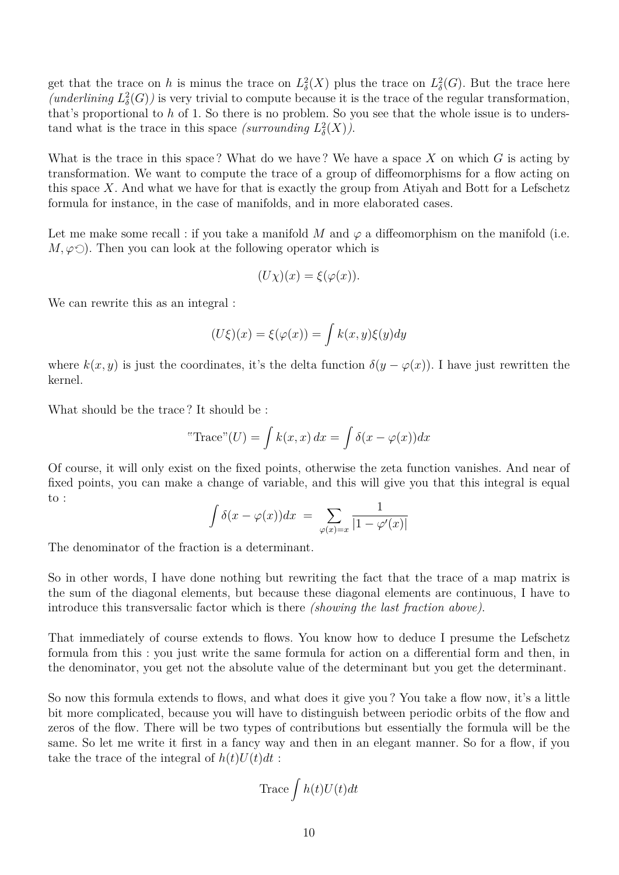get that the trace on *h* is minus the trace on  $L^2_{\delta}(X)$  plus the trace on  $L^2_{\delta}(G)$ . But the trace here *(underlining*  $L^2_{\delta}(G)$ ) is very trivial to compute because it is the trace of the regular transformation, that's proportional to *h* of 1. So there is no problem. So you see that the whole issue is to understand what is the trace in this space *(surrounding*  $L^2_{\delta}(X)$ ).

What is the trace in this space ? What do we have ? We have a space *X* on which *G* is acting by transformation. We want to compute the trace of a group of diffeomorphisms for a flow acting on this space *X*. And what we have for that is exactly the group from Atiyah and Bott for a Lefschetz formula for instance, in the case of manifolds, and in more elaborated cases.

Let me make some recall : if you take a manifold  $M$  and  $\varphi$  a diffeomorphism on the manifold (i.e.  $M, \varphi \circlearrowleft$ ). Then you can look at the following operator which is

$$
(U\chi)(x) = \xi(\varphi(x)).
$$

We can rewrite this as an integral :

$$
(U\xi)(x) = \xi(\varphi(x)) = \int k(x, y)\xi(y)dy
$$

where  $k(x, y)$  is just the coordinates, it's the delta function  $\delta(y - \varphi(x))$ . I have just rewritten the kernel.

What should be the trace ? It should be :

"Trace" 
$$
(U) = \int k(x, x) dx = \int \delta(x - \varphi(x)) dx
$$

Of course, it will only exist on the fixed points, otherwise the zeta function vanishes. And near of fixed points, you can make a change of variable, and this will give you that this integral is equal to :

$$
\int \delta(x - \varphi(x)) dx = \sum_{\varphi(x) = x} \frac{1}{|1 - \varphi'(x)|}
$$

The denominator of the fraction is a determinant.

So in other words, I have done nothing but rewriting the fact that the trace of a map matrix is the sum of the diagonal elements, but because these diagonal elements are continuous, I have to introduce this transversalic factor which is there *(showing the last fraction above)*.

That immediately of course extends to flows. You know how to deduce I presume the Lefschetz formula from this : you just write the same formula for action on a differential form and then, in the denominator, you get not the absolute value of the determinant but you get the determinant.

So now this formula extends to flows, and what does it give you ? You take a flow now, it's a little bit more complicated, because you will have to distinguish between periodic orbits of the flow and zeros of the flow. There will be two types of contributions but essentially the formula will be the same. So let me write it first in a fancy way and then in an elegant manner. So for a flow, if you take the trace of the integral of  $h(t)U(t)dt$ :

$$
\text{Trace}\int h(t)U(t)dt
$$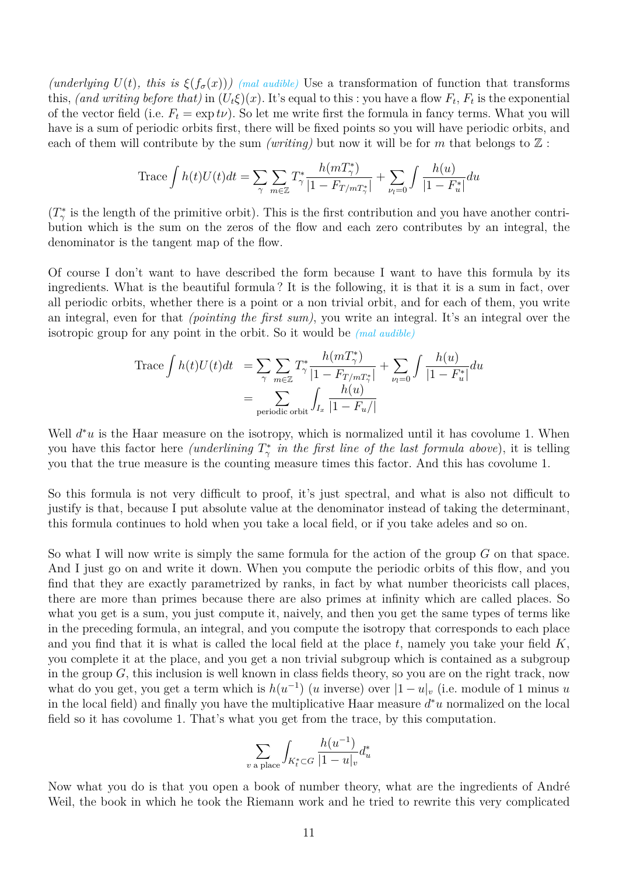*(underlying*  $U(t)$ *, this is*  $\xi(f_{\sigma}(x))$ *) (mal audible)* Use a transformation of function that transforms this, *(and writing before that)* in  $(U_t \xi)(x)$ . It's equal to this : you have a flow  $F_t$ ,  $F_t$  is the exponential of the vector field (i.e.  $F_t = \exp t\nu$ ). So let me write first the formula in fancy terms. What you will have is a sum of periodic orbits first, there will be fixed points so you will have periodic orbits, and each of them will contribute by the sum *(writing)* but now it will be for *m* that belongs to  $\mathbb{Z}$ :

Trace 
$$
\int h(t)U(t)dt = \sum_{\gamma} \sum_{m \in \mathbb{Z}} T_{\gamma}^* \frac{h(mT_{\gamma}^*)}{|1 - F_{T/mT_{\gamma}^*}|} + \sum_{\nu_l=0} \int \frac{h(u)}{|1 - F_u^*|} du
$$

 $(T^*_{\gamma}$  is the length of the primitive orbit). This is the first contribution and you have another contribution which is the sum on the zeros of the flow and each zero contributes by an integral, the denominator is the tangent map of the flow.

Of course I don't want to have described the form because I want to have this formula by its ingredients. What is the beautiful formula ? It is the following, it is that it is a sum in fact, over all periodic orbits, whether there is a point or a non trivial orbit, and for each of them, you write an integral, even for that *(pointing the first sum)*, you write an integral. It's an integral over the isotropic group for any point in the orbit. So it would be *(mal audible)*

Trace 
$$
\int h(t)U(t)dt
$$
 =  $\sum_{\gamma} \sum_{m \in \mathbb{Z}} T_{\gamma}^* \frac{h(mT_{\gamma}^*)}{|1 - F_{T/mT_{\gamma}^*}|} + \sum_{\nu_l=0} \int \frac{h(u)}{|1 - F_u^*|} du$   
 =  $\sum_{\text{periodic orbit}} \int_{I_x} \frac{h(u)}{|1 - F_u/|}$ 

Well  $d^*u$  is the Haar measure on the isotropy, which is normalized until it has covolume 1. When you have this factor here *(underlining*  $T^*_{\gamma}$  *in the first line of the last formula above)*, it is telling you that the true measure is the counting measure times this factor. And this has covolume 1.

So this formula is not very difficult to proof, it's just spectral, and what is also not difficult to justify is that, because I put absolute value at the denominator instead of taking the determinant, this formula continues to hold when you take a local field, or if you take adeles and so on.

So what I will now write is simply the same formula for the action of the group *G* on that space. And I just go on and write it down. When you compute the periodic orbits of this flow, and you find that they are exactly parametrized by ranks, in fact by what number theoricists call places, there are more than primes because there are also primes at infinity which are called places. So what you get is a sum, you just compute it, naively, and then you get the same types of terms like in the preceding formula, an integral, and you compute the isotropy that corresponds to each place and you find that it is what is called the local field at the place *t*, namely you take your field *K*, you complete it at the place, and you get a non trivial subgroup which is contained as a subgroup in the group *G*, this inclusion is well known in class fields theory, so you are on the right track, now what do you get, you get a term which is  $h(u^{-1})$  (*u* inverse) over  $|1-u|_v$  (i.e. module of 1 minus *u* in the local field) and finally you have the multiplicative Haar measure *d* <sup>∗</sup>*u* normalized on the local field so it has covolume 1. That's what you get from the trace, by this computation.

$$
\sum_{v \text{ a place}} \int_{K_t^* \subset G} \frac{h(u^{-1})}{|1 - u|_v} d_u^*
$$

Now what you do is that you open a book of number theory, what are the ingredients of André Weil, the book in which he took the Riemann work and he tried to rewrite this very complicated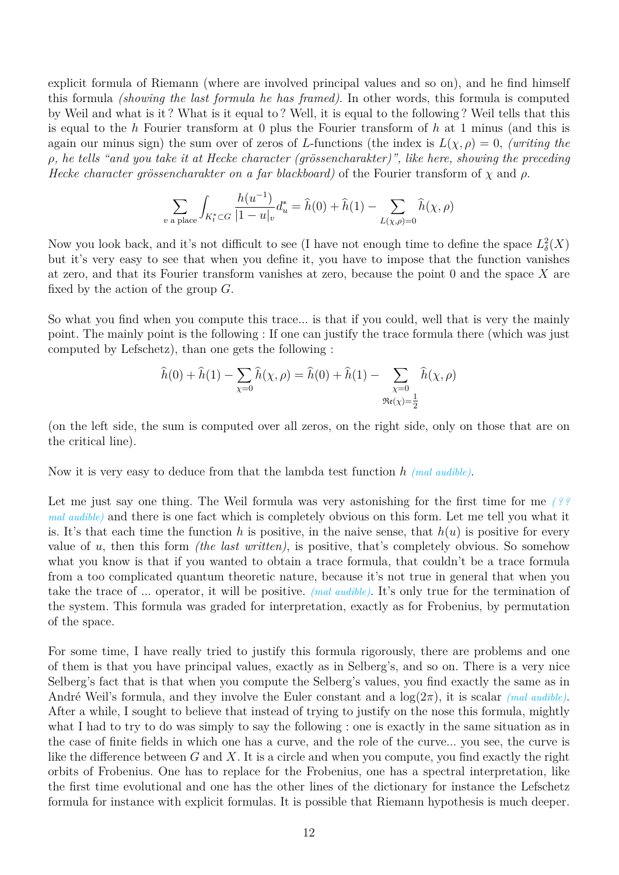explicit formula of Riemann (where are involved principal values and so on), and he find himself this formula *(showing the last formula he has framed)*. In other words, this formula is computed by Weil and what is it ? What is it equal to ? Well, it is equal to the following ? Weil tells that this is equal to the *h* Fourier transform at 0 plus the Fourier transform of *h* at 1 minus (and this is again our minus sign) the sum over of zeros of *L*-functions (the index is  $L(\chi, \rho) = 0$ , *(writing the ρ, he tells "and you take it at Hecke character (grössencharakter)", like here, showing the preceding Hecke character grössencharakter on a far blackboard)* of the Fourier transform of *χ* and *ρ*.

$$
\sum_{v \text{ a place}} \int_{K_t^* \subset G} \frac{h(u^{-1})}{|1 - u|_v} d_u^* = \hat{h}(0) + \hat{h}(1) - \sum_{L(\chi, \rho) = 0} \hat{h}(\chi, \rho)
$$

Now you look back, and it's not difficult to see (I have not enough time to define the space  $L^2_{\delta}(X)$ but it's very easy to see that when you define it, you have to impose that the function vanishes at zero, and that its Fourier transform vanishes at zero, because the point 0 and the space *X* are fixed by the action of the group *G*.

So what you find when you compute this trace... is that if you could, well that is very the mainly point. The mainly point is the following : If one can justify the trace formula there (which was just computed by Lefschetz), than one gets the following :

$$
\hat{h}(0) + \hat{h}(1) - \sum_{\chi=0} \hat{h}(\chi, \rho) = \hat{h}(0) + \hat{h}(1) - \sum_{\chi=0} \hat{h}(\chi, \rho)
$$
  

$$
\Re(\chi) = \frac{1}{2}
$$

(on the left side, the sum is computed over all zeros, on the right side, only on those that are on the critical line).

Now it is very easy to deduce from that the lambda test function *h (mal audible)*.

Let me just say one thing. The Weil formula was very astonishing for the first time for me (?? *mal audible)* and there is one fact which is completely obvious on this form. Let me tell you what it is. It's that each time the function h is positive, in the naive sense, that  $h(u)$  is positive for every value of *u*, then this form *(the last written)*, is positive, that's completely obvious. So somehow what you know is that if you wanted to obtain a trace formula, that couldn't be a trace formula from a too complicated quantum theoretic nature, because it's not true in general that when you take the trace of ... operator, it will be positive. *(mal audible)*. It's only true for the termination of the system. This formula was graded for interpretation, exactly as for Frobenius, by permutation of the space.

For some time, I have really tried to justify this formula rigorously, there are problems and one of them is that you have principal values, exactly as in Selberg's, and so on. There is a very nice Selberg's fact that is that when you compute the Selberg's values, you find exactly the same as in André Weil's formula, and they involve the Euler constant and a log(2*π*), it is scalar *(mal audible)*. After a while, I sought to believe that instead of trying to justify on the nose this formula, mightly what I had to try to do was simply to say the following : one is exactly in the same situation as in the case of finite fields in which one has a curve, and the role of the curve... you see, the curve is like the difference between *G* and *X*. It is a circle and when you compute, you find exactly the right orbits of Frobenius. One has to replace for the Frobenius, one has a spectral interpretation, like the first time evolutional and one has the other lines of the dictionary for instance the Lefschetz formula for instance with explicit formulas. It is possible that Riemann hypothesis is much deeper.